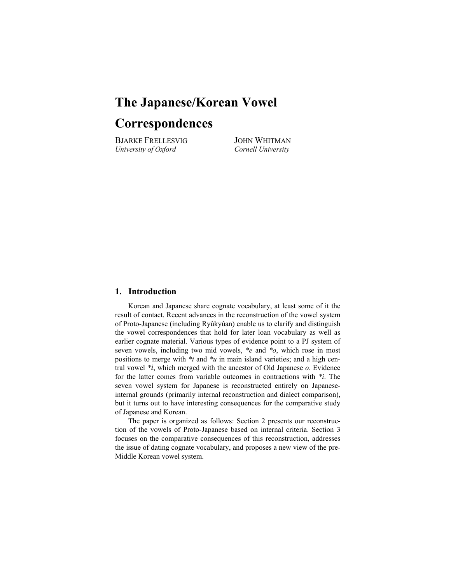## **The Japanese/Korean Vowel**

# **Correspondences**

BJARKE FRELLESVIG JOHN WHITMAN *University of Oxford Cornell University* 

#### **1. Introduction**

 Korean and Japanese share cognate vocabulary, at least some of it the result of contact. Recent advances in the reconstruction of the vowel system of Proto-Japanese (including Ryûkyûan) enable us to clarify and distinguish the vowel correspondences that hold for later loan vocabulary as well as earlier cognate material. Various types of evidence point to a PJ system of seven vowels, including two mid vowels, *\*e* and *\*o*, which rose in most positions to merge with *\*i* and *\*u* in main island varieties; and a high central vowel  $*_i$ , which merged with the ancestor of Old Japanese  $o$ . Evidence for the latter comes from variable outcomes in contractions with *\*i*. The seven vowel system for Japanese is reconstructed entirely on Japaneseinternal grounds (primarily internal reconstruction and dialect comparison), but it turns out to have interesting consequences for the comparative study of Japanese and Korean.

 The paper is organized as follows: Section 2 presents our reconstruction of the vowels of Proto-Japanese based on internal criteria. Section 3 focuses on the comparative consequences of this reconstruction, addresses the issue of dating cognate vocabulary, and proposes a new view of the pre-Middle Korean vowel system.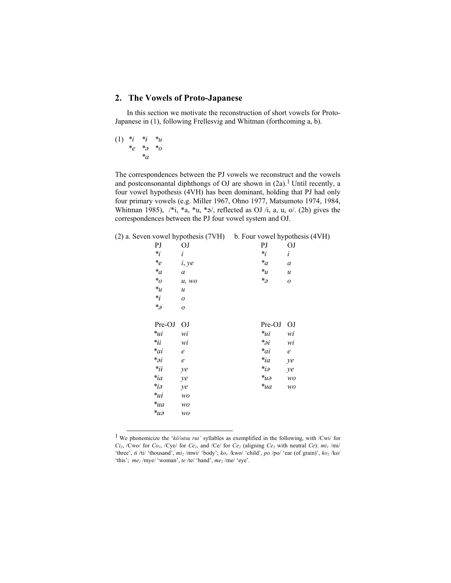## **2. The Vowels of Proto-Japanese**

In this section we motivate the reconstruction of short vowels for Proto-Japanese in (1), following Frellesvig and Whitman (forthcoming a, b).

$$
\begin{array}{cccc}\n(1) & *_{i} & *_{i} & *_{u} \\
& *_{e} & *_{o} & *_{o} \\
& & *_{a}\n\end{array}
$$

The correspondences between the PJ vowels we reconstruct and the vowels and postconsonantal diphthongs of OJ are shown in  $(2a)$ .<sup>1</sup> Until recently, a four vowel hypothesis (4VH) has been dominant, holding that PJ had only four primary vowels (e.g. Miller 1967, Ohno 1977, Matsumoto 1974, 1984, Whitman 1985),  $\frac{*i}{*}$ ,  $*a$ ,  $\frac{*j}{*}$ , reflected as OJ  $\frac{i}{i}$ , a, u, o $\frac{i}{i}$  (2b) gives the correspondences between the PJ four vowel system and OJ.

| (2) a. Seven vowel hypothesis (7VH) b. Four vowel hypothesis (4VH) |  |
|--------------------------------------------------------------------|--|
|                                                                    |  |

| PJ                                    | OJ               | PJ                               | OJ               |
|---------------------------------------|------------------|----------------------------------|------------------|
| $*_i$                                 | i                | $*_i$                            | $\dot{i}$        |
| $e^*e$                                | i, ye            | $\displaystyle{{}^*}a$           | $\boldsymbol{a}$ |
| $\displaystyle{{}^*}a$                | a                | $\ast_{\mathcal{U}}$             | $\boldsymbol{u}$ |
| $^*o$                                 | u, wo            | $*_\partial$                     | $\boldsymbol{o}$ |
| $*_{\mathcal{U}}$                     | $\boldsymbol{u}$ |                                  |                  |
| $*_i$                                 | 0                |                                  |                  |
| $*_\partial$                          | 0                |                                  |                  |
|                                       |                  |                                  |                  |
| Pre-OJ                                | <b>OJ</b>        | Pre-OJ                           | OJ               |
| $*_{ui}$                              | wi               | $*_{ui}$                         | wi               |
| $*_ii$                                | wi               | $*_{{\partial} i}$               | wi               |
| $a^*$ ai                              | $\mathfrak{e}$   | $a^*$ ai                         | $\it e$          |
| $*_{{\partial} i}$                    | $\ell$           | $\ast_{ia}$                      | ye               |
| $*_{ii}$                              | ye               | $\ast_{i\partial}$               | ye               |
| $*_ia$                                | ye               | $\ast_{\mathcal{U}\partial}$     | wo               |
| $*_i_{i\partial}$                     | ye               | $\ast_{\mathcal{U} \mathcal{U}}$ | wo               |
| $\ast_{\mathcal{U}\mathcal{\dot{t}}}$ | wo               |                                  |                  |
| $\ast_{\mathcal{U} \mathcal{A}}$      | wo               |                                  |                  |
| $*_{u\partial}$                       | wo               |                                  |                  |
|                                       |                  |                                  |                  |

 1 We phonemicize the '*kô/otsu rui'* syllables as exemplified in the following, with /Cwi/ for  $Ci_2$ ,  $i$ Cwo/ for  $Co_1$ ,  $i$ Cye/ for  $Ce_1$ , and  $i$ Ce/ for  $Ce_2$  (aligning  $Ce_2$  with neutral  $Ce$ ):  $mi_1$  /mi/ 'three', *ti* /ti/ 'thousand', *mi<sub>2</sub>* /mwi/ 'body';  $ko_1$  /kwo/ 'child', *po* /po/ 'ear (of grain)',  $ko_2$  /ko/ 'this'; *me<sub>1</sub>* /mye/ 'woman', *te* /te/ 'hand', *me<sub>2</sub>* /me/ 'eye'.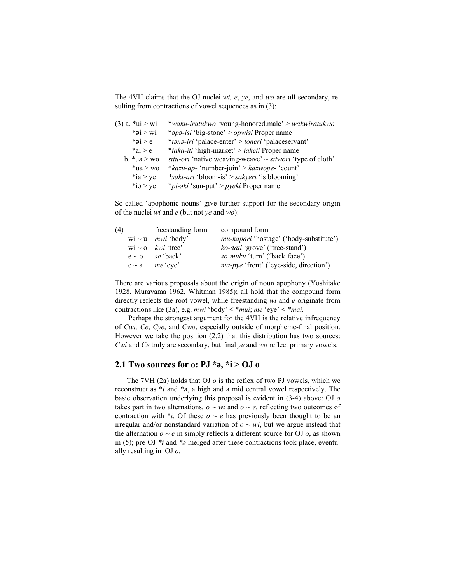The 4VH claims that the OJ nuclei *wi, e*, *ye*, and *wo* are **all** secondary, resulting from contractions of vowel sequences as in (3):

| $(3)$ a. *ui > wi                  | *waku-iratukwo 'young-honored.male' > wakwiratukwo             |
|------------------------------------|----------------------------------------------------------------|
| $*$ ai > wi                        | <i>*apa-isi</i> 'big-stone' > <i>opwisi</i> Proper name        |
| * $\alpha$ i > e                   | *tana-iri 'palace-enter' > toneri 'palaceservant'              |
| $*ai > e$                          | <i>*taka-iti</i> 'high-market' > <i>taketi</i> Proper name     |
| b. $\sqrt[k]{u^2} > \sqrt[3]{v^2}$ | situ-ori 'native.weaving-weave' $\sim$ sitwori 'type of cloth' |
| $*ua > wo$                         | *kazu-ap- 'number-join' > kazwope- 'count'                     |
| $*ia > ye$                         | <i>*saki-ari 'bloom-is' &gt; sakyeri 'is blooming'</i>         |
| $*i$ $>$ ye                        | <i>*pi-əki</i> 'sun-put' > <i>pyeki</i> Proper name            |

So-called 'apophonic nouns' give further support for the secondary origin of the nuclei *wi* and *e* (but not *ye* and *wo*):

| (4) | freestanding form                                                                                                                                              | compound form                                  |
|-----|----------------------------------------------------------------------------------------------------------------------------------------------------------------|------------------------------------------------|
|     | wi ~ u $mwi$ 'body'                                                                                                                                            | <i>mu-kapari</i> 'hostage' ('body-substitute') |
|     | $\overline{w}$ $\sim$ 0 $\overline{k}$ $\overline{w}$ $\overline{k}$ $\overline{w}$ $\overline{k}$ $\overline{c}$ $\overline{k}$ $\overline{c}$ $\overline{k}$ | <i>ko-dati</i> 'grove' ('tree-stand')          |
|     | $e \sim o$ se 'back'                                                                                                                                           | <i>so-muku</i> 'turn' ('back-face')            |
|     | $e \sim a$ <i>me</i> 'eye'                                                                                                                                     | <i>ma-pye</i> 'front' ('eye-side, direction')  |

There are various proposals about the origin of noun apophony (Yoshitake 1928, Murayama 1962, Whitman 1985); all hold that the compound form directly reflects the root vowel, while freestanding *wi* and *e* originate from contractions like (3a), e.g. *mwi* 'body' < \**mui*; *me* 'eye' < *\*mai.* 

Perhaps the strongest argument for the 4VH is the relative infrequency of *Cwi, Ce*, *Cye*, and *Cwo*, especially outside of morpheme-final position. However we take the position (2.2) that this distribution has two sources: *Cwi* and *Ce* truly are secondary, but final *ye* and *wo* reflect primary vowels.

## **2.1 Two sources for o: PJ**  $*$ **<b>a**,  $*$ **i**  $>$  OJ **o**

The 7VH (2a) holds that OJ *o* is the reflex of two PJ vowels, which we reconstruct as  $*_i$  and  $*_\partial$ , a high and a mid central vowel respectively. The basic observation underlying this proposal is evident in (3-4) above: OJ *o* takes part in two alternations,  $o \sim wi$  and  $o \sim e$ , reflecting two outcomes of contraction with  $*_i$ . Of these  $o \sim e$  has previously been thought to be an irregular and/or nonstandard variation of  $o \sim wi$ , but we argue instead that the alternation  $o \sim e$  in simply reflects a different source for OJ  $o$ , as shown in (5); pre-OJ  $*_i$  and  $*_i$  merged after these contractions took place, eventually resulting in OJ *o*.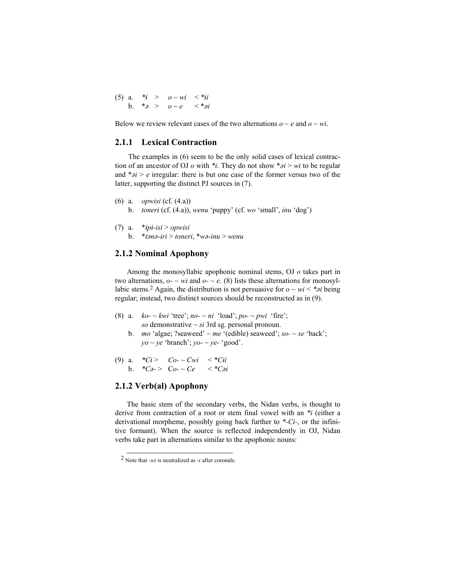(5) a.  $*_i > 0 \sim wi < *_i>i$ b.  $*_2 > 0 \sim e \quad <*_2i$ 

Below we review relevant cases of the two alternations  $o \sim e$  and  $o \sim wi$ .

#### **2.1.1 Lexical Contraction**

 The examples in (6) seem to be the only solid cases of lexical contraction of an ancestor of OJ  $o$  with  $*$ *i*. They do not show  $*_{oi} > wi$  to be regular and  $*_{\partial i} > e$  irregular: there is but one case of the former versus two of the latter, supporting the distinct PJ sources in (7).

- (6) a. *opwisi* (cf. (4.a))
	- b. *toneri* (cf. (4.a)), *wenu* 'puppy' (cf. *wo* 'small', *inu* 'dog')
- (7) a.  $*ipi-isi > opwisi$ 
	- b. \**tn-iri* > *toneri*, \**w-inu* > *wenu*

#### **2.1.2 Nominal Apophony**

Among the monosyllabic apophonic nominal stems, OJ *o* takes part in two alternations,  $o$ -  $\sim$  *wi* and  $o$ -  $\sim$  *e*. (8) lists these alternations for monosyllabic stems.<sup>2</sup> Again, the distribution is not persuasive for  $o \sim wi \lt^*si$  being regular; instead, two distinct sources should be reconstructed as in (9).

- (8) a.  $ko- \sim kwi$  'tree';  $no- \sim ni$  'load';  $po- \sim pwi$  'fire'; *so* demonstrative  $\sim$  *si* 3rd sg. personal pronoun.
	- b. *mo* 'algae; ?seaweed'  $\sim$  *me* '(edible) seaweed'; *so-* $\sim$  *se* 'back';  $yo \sim ye$  'branch';  $yo \sim ye$ - 'good'.

(9) a. 
$$
*Ci > Co~\sim Cwi < *Cii
$$
  
b.  $*Co~>Co~\sim Ce < *Coi$ 

#### **2.1.2 Verb(al) Apophony**

The basic stem of the secondary verbs, the Nidan verbs, is thought to derive from contraction of a root or stem final vowel with an *\*i* (either a derivational morpheme, possibly going back further to *\*-Ci-*, or the infinitive formant). When the source is reflected independently in OJ, Nidan verbs take part in alternations similar to the apophonic nouns:

 <sup>2</sup> Note that *-wi* is neutralized as *-i* after coronals.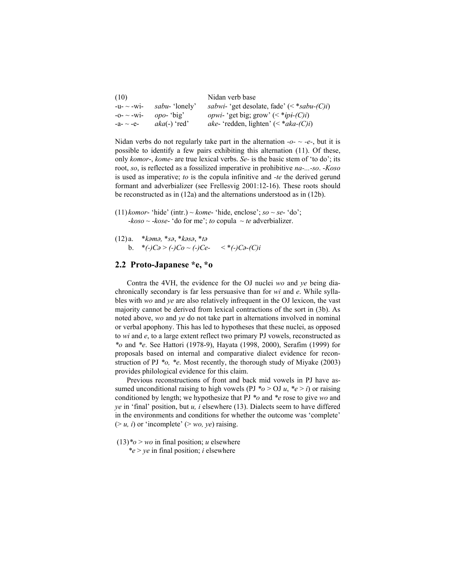| (10)           |                        | Nidan verb base                                          |
|----------------|------------------------|----------------------------------------------------------|
| $-u - w$ i-    | <i>sabu</i> - 'lonely' | <i>sabwi</i> - 'get desolate, fade' $(<^*sabu$ - $(C)i)$ |
| $-0-$ ~ $-Wi-$ | $opo$ - 'big'          | <i>opwi</i> - 'get big; grow' $(*ipi-(C)i)$              |
| -a- $\sim$ -e- | $aka(-)$ 'red'         | <i>ake</i> -'redden, lighten' $(*aka-(C)i)$              |

Nidan verbs do not regularly take part in the alternation  $-o - e - e$ , but it is possible to identify a few pairs exhibiting this alternation (11). Of these, only *komor*-, *kome-* are true lexical verbs. *Se-* is the basic stem of 'to do'; its root, *so*, is reflected as a fossilized imperative in prohibitive *na-...-so*. -*Koso* is used as imperative; *to* is the copula infinitive and *-te* the derived gerund formant and adverbializer (see Frellesvig 2001:12-16). These roots should be reconstructed as in (12a) and the alternations understood as in (12b).

- $(11)$  *komor* 'hide' (intr.) ~ *kome* 'hide, enclose'; *so* ~ *se* 'do'; -*koso* ~ -*kose*- 'do for me'; *to* copula ~ *te* adverbializer.
- (12) a. \**km,* \**s*, \**ks*, \**t* b.  $*(-)C_{\partial} > (-)C_{\partial} \sim (-)Ce$ - <  $*(-)C_{\partial}$ -*(C)i*

#### **2.2 Proto-Japanese \*e, \*o**

Contra the 4VH, the evidence for the OJ nuclei *wo* and *ye* being diachronically secondary is far less persuasive than for *wi* and *e*. While syllables with *wo* and *ye* are also relatively infrequent in the OJ lexicon, the vast majority cannot be derived from lexical contractions of the sort in (3b). As noted above, *wo* and *ye* do not take part in alternations involved in nominal or verbal apophony. This has led to hypotheses that these nuclei, as opposed to *wi* and *e*, to a large extent reflect two primary PJ vowels, reconstructed as *\*o* and *\*e*. See Hattori (1978-9), Hayata (1998, 2000), Serafim (1999) for proposals based on internal and comparative dialect evidence for reconstruction of PJ *\*o, \*e*. Most recently, the thorough study of Miyake (2003) provides philological evidence for this claim.

Previous reconstructions of front and back mid vowels in PJ have assumed unconditional raising to high vowels (PJ  $*o > OJ u$ ,  $*e > i$ ) or raising conditioned by length; we hypothesize that PJ *\*o* and *\*e* rose to give *wo* and *ye* in 'final' position, but *u, i* elsewhere (13). Dialects seem to have differed in the environments and conditions for whether the outcome was 'complete'  $(> u, i)$  or 'incomplete'  $(> w, v e)$  raising.

 $(13)*<sub>o</sub> > *wo*$  in final position; *u* elsewhere  *\*e* > *ye* in final position; *i* elsewhere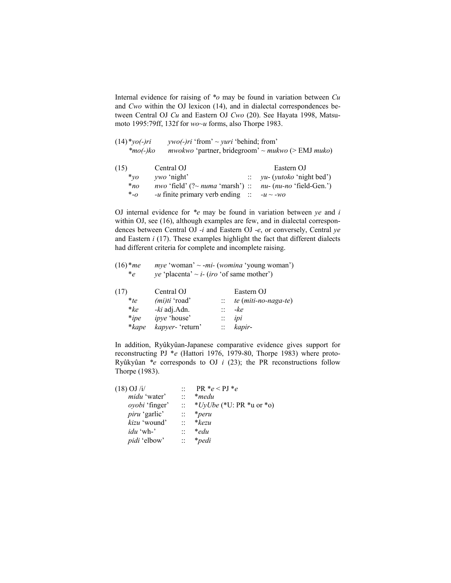Internal evidence for raising of *\*o* may be found in variation between *Cu* and *Cwo* within the OJ lexicon (14), and in dialectal correspondences between Central OJ *Cu* and Eastern OJ *Cwo* (20). See Hayata 1998, Matsumoto 1995:79ff, 132f for *wo~u* forms, also Thorpe 1983.

| $(14)*yo(-)ri$ | <i>ywo(-)ri</i> 'from' $\sim$ <i>yuri</i> 'behind; from'                |
|----------------|-------------------------------------------------------------------------|
| $*$ mo(-)ko    | <i>mwokwo</i> 'partner, bridegroom' ~ <i>mukwo</i> (> EMJ <i>muko</i> ) |

| (15)        | Central OJ                                                                                    | Eastern OJ                            |
|-------------|-----------------------------------------------------------------------------------------------|---------------------------------------|
| $*_{\nu o}$ | <i>vwo</i> 'night'                                                                            | $\therefore$ yu- (yutoko 'night bed') |
| $*_{no}$    | <i>nwo</i> 'field' $($ ?~ <i>numa</i> 'marsh') :: <i>nu</i> - $(nu$ - <i>no</i> 'field-Gen.') |                                       |
| $*_{-O}$    | <i>-u</i> finite primary verb ending $\therefore$ <i>-u</i> ~ <i>-wo</i>                      |                                       |

OJ internal evidence for *\*e* may be found in variation between *ye* and *i* within OJ, see (16), although examples are few, and in dialectal correspondences between Central OJ *-i* and Eastern OJ -*e*, or conversely, Central *ye* and Eastern *i* (17). These examples highlight the fact that different dialects had different criteria for complete and incomplete raising.

| $(16)*me$  | $\textit{mye}'$ woman' ~ -mi- (womina 'young woman')                  |
|------------|-----------------------------------------------------------------------|
| $*_{\rho}$ | <i>ye</i> 'placenta' $\sim$ <i>i</i> - ( <i>iro</i> 'of same mother') |

| (17)       | Central OJ          |                | Eastern OJ           |
|------------|---------------------|----------------|----------------------|
| $*_{{te}}$ | $(mi)ti$ 'road'     |                | te (miti-no-naga-te) |
| $*ke$      | -ki adj.Adn.        | $\mathbb{R}^2$ | -ke                  |
| $*_{ipe}$  | <i>ipye</i> 'house' | $\mathbb{Z}^+$ | ipi                  |
| *kape      | kapyer- 'return'    |                | kapir-               |

In addition, Ryûkyûan-Japanese comparative evidence gives support for reconstructing PJ \**e* (Hattori 1976, 1979-80, Thorpe 1983) where proto-Ryûkyûan *\*e* corresponds to OJ *i* (23); the PR reconstructions follow Thorpe (1983).

| $(18)$ OJ /i/        |                      | $PR *_{e} < PJ *_{e}$            |
|----------------------|----------------------|----------------------------------|
| <i>midu</i> 'water'  | $\ddotsc$            | *medu                            |
| oyobi 'finger'       | $\vdots$             | * <i>UyUbe</i> (*U: PR *u or *o) |
| <i>piru</i> 'garlic' | $\ddot{ }$ :         | *peru                            |
| kizu 'wound'         | $\ddot{\phantom{0}}$ | $*$ kezu                         |
| <i>idu</i> 'wh-'     | ٠.                   | *edu                             |
| <i>pidi</i> 'elbow'  |                      | <i>*pedi</i>                     |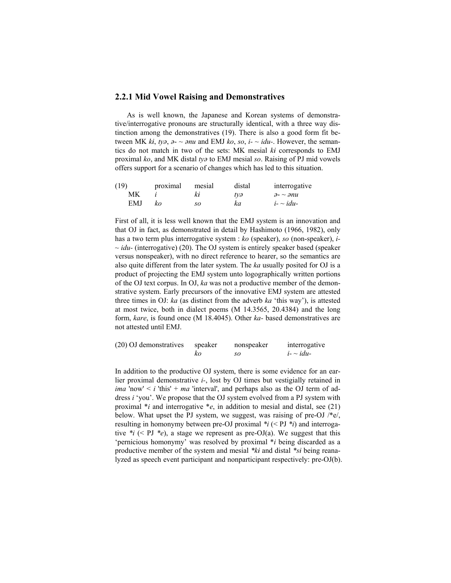#### **2.2.1 Mid Vowel Raising and Demonstratives**

As is well known, the Japanese and Korean systems of demonstrative/interrogative pronouns are structurally identical, with a three way distinction among the demonstratives (19). There is also a good form fit between MK  $ki$ ,  $tv\partial$ ,  $\partial$ -  $\sim$   $\partial nu$  and EMJ  $ko$ , so,  $i$ -  $\sim$   $idu$ -. However, the semantics do not match in two of the sets: MK mesial *ki* corresponds to EMJ proximal *ko*, and MK distal *ty* to EMJ mesial *so*. Raising of PJ mid vowels offers support for a scenario of changes which has led to this situation.

| (19) | proximal | mesial | distal | interrogative                     |
|------|----------|--------|--------|-----------------------------------|
| МK   |          | ki     | tvə    | $\partial$ - $\sim$ $\partial$ nu |
| EMJ  | kο       | so     | ka     | $i - \sim idu$                    |

First of all, it is less well known that the EMJ system is an innovation and that OJ in fact, as demonstrated in detail by Hashimoto (1966, 1982), only has a two term plus interrogative system : *ko* (speaker), *so* (non-speaker), *i- ~ idu-* (interrogative) (20). The OJ system is entirely speaker based (speaker versus nonspeaker), with no direct reference to hearer, so the semantics are also quite different from the later system. The *ka* usually posited for OJ is a product of projecting the EMJ system unto logographically written portions of the OJ text corpus. In OJ, *ka* was not a productive member of the demonstrative system. Early precursors of the innovative EMJ system are attested three times in OJ: *ka* (as distinct from the adverb *ka* 'this way'), is attested at most twice, both in dialect poems (M 14.3565, 20.4384) and the long form, *kare*, is found once (M 18.4045). Other *ka-* based demonstratives are not attested until EMJ.

| (20) OJ demonstratives | speaker | nonspeaker | interrogative  |
|------------------------|---------|------------|----------------|
|                        | kο      | so         | $i - \sim idu$ |

In addition to the productive OJ system, there is some evidence for an earlier proximal demonstrative *i-*, lost by OJ times but vestigially retained in *ima* 'now'  $\lt i$  'this' + *ma* 'interval', and perhaps also as the OJ term of address *i* 'you'. We propose that the OJ system evolved from a PJ system with proximal \**i* and interrogative \**e*, in addition to mesial and distal, see (21) below. What upset the PJ system, we suggest, was raising of pre-OJ /\*e/, resulting in homonymy between pre-OJ proximal *\*i* (< PJ *\*i*) and interrogative  $*_i$  (< PJ  $*_e$ ), a stage we represent as pre-OJ(a). We suggest that this 'pernicious homonymy' was resolved by proximal \**i* being discarded as a productive member of the system and mesial *\*ki* and distal *\*si* being reanalyzed as speech event participant and nonparticipant respectively: pre-OJ(b).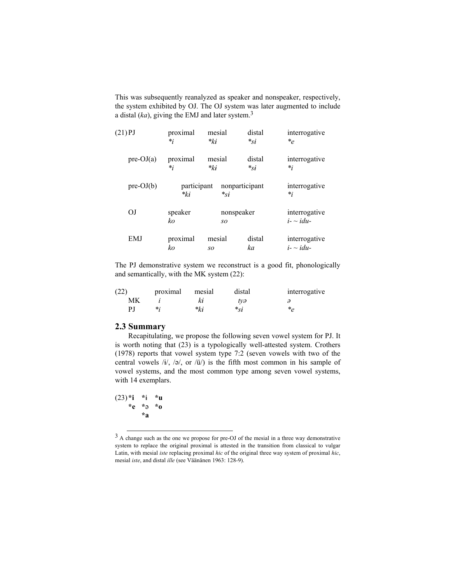This was subsequently reanalyzed as speaker and nonspeaker, respectively, the system exhibited by OJ. The OJ system was later augmented to include a distal (*ka*), giving the EMJ and later system.3

| $(21)$ PJ      | proximal                | mesial         |                | interrogative                     |  |
|----------------|-------------------------|----------------|----------------|-----------------------------------|--|
|                | $*_i$                   | *ki            |                | $*_e$                             |  |
| $pre-OJ(a)$    | proximal                | mesial         | distal         | interrogative                     |  |
|                | $*_i$                   | $*_{ki}$       | $*_{\rm{Si}}$  | $*_i$                             |  |
| $pre-OJ(b)$    | participant<br>$*_{ki}$ | $*_{{\rm S}i}$ | nonparticipant | interrogative<br>$*_i$            |  |
| O <sub>J</sub> | speaker<br>ko           | so             | nonspeaker     | interrogative<br>$i - \sim idu -$ |  |
| <b>EMJ</b>     | proximal                | mesial         | distal         | interrogative                     |  |
|                | ko                      | so             | ka             | $i - \sim idu$                    |  |

The PJ demonstrative system we reconstruct is a good fit, phonologically and semantically, with the MK system (22):

| (22) | proximal | mesial | distal   | interrogative |
|------|----------|--------|----------|---------------|
| МK   |          | Κł     | tvə      |               |
| ΡI   | $\ast$ : | *ki    | $*_{Si}$ | * 2           |

#### **2.3 Summary**

Recapitulating, we propose the following seven vowel system for PJ. It is worth noting that (23) is a typologically well-attested system. Crothers (1978) reports that vowel system type 7:2 (seven vowels with two of the central vowels  $/i/$ ,  $/\varphi$ , or  $/i/$ ) is the fifth most common in his sample of vowel systems, and the most common type among seven vowel systems, with 14 exemplars.

 $(23)*i **i **u$  **\*e \* \*o \*a** 

 <sup>3</sup> A change such as the one we propose for pre-OJ of the mesial in a three way demonstrative system to replace the original proximal is attested in the transition from classical to vulgar Latin, with mesial *iste* replacing proximal *hic* of the original three way system of proximal *hic*, mesial *iste*, and distal *ille* (see Väänänen 1963: 128-9).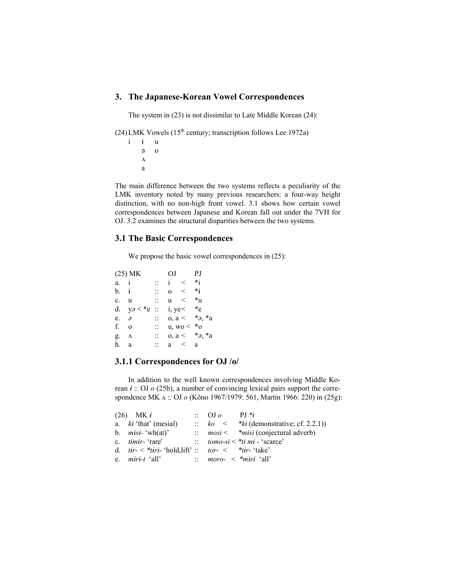#### **3. The Japanese-Korean Vowel Correspondences**

The system in (23) is not dissimilar to Late Middle Korean (24):

(24) LMK Vowels (15<sup>th</sup> century; transcription follows Lee 1972a)

i i u o  $\Lambda$ a

The main difference between the two systems reflects a peculiarity of the LMK inventory noted by many previous researchers: a four-way height distinction, with no non-high front vowel. 3.1 shows how certain vowel correspondences between Japanese and Korean fall out under the 7VH for OJ. 3.2 examines the structural disparities between the two systems.

### **3.1 The Basic Correspondences**

We propose the basic vowel correspondences in  $(25)$ :

|                  | $(25)$ MK     |          |              | OJ PJ        |                                      |
|------------------|---------------|----------|--------------|--------------|--------------------------------------|
| a. i             |               |          | $\mathbf{i}$ | $\,<\,$      | $*_{1}$                              |
| b. i             |               |          | 0<           |              | $*_1$                                |
| c. u             |               |          |              | u <          | $*_{\mathrm{u}}$                     |
|                  | d. $y_0 < *e$ | $\vdots$ |              | i, $ye<$ *e  |                                      |
| $e$ . $\partial$ |               |          |              |              | $a, a < *_{\partial} *_{\partial} a$ |
| f.               | $\Omega$      |          |              | $u, wo < *o$ |                                      |
| g. Λ             |               |          |              |              | $a, a < *_{\partial} * a$            |
| h.               | - a           |          |              | $a \leq a$   |                                      |

## **3.1.1 Correspondences for OJ /o/**

 In addition to the well known correspondences involving Middle Korean  $i$  :: OJ  $o$  (25b), a number of convincing lexical pairs support the correspondence MK  $\Lambda$  :: OJ  $\sigma$  (Kôno 1967/1979: 561, Martin 1966: 220) in (25g):

| $(26)$ MK $\dot{t}$                                                            | $\therefore$ OJ $\theta$ | $PI*_{i}$                                         |
|--------------------------------------------------------------------------------|--------------------------|---------------------------------------------------|
| a. $ki$ 'that' (mesial)                                                        |                          | $\therefore$ ko < *ki (demonstrative; cf. 2.2.1)) |
| b. $misi$ - 'wh(at)'                                                           |                          | $\therefore$ mosi < * misi (conjectural adverb)   |
| c. <i>timir</i> - 'rare'                                                       |                          | $\therefore$ tomo-si < *ti mi - 'scarce'          |
| d. $tir - \langle *tiri - 'hold, lift' :: tor - \langle *tir - 'take' \rangle$ |                          |                                                   |
| e. <i>miri-t</i> 'all'                                                         |                          | $\therefore$ moro- $\leq$ *miri 'all'             |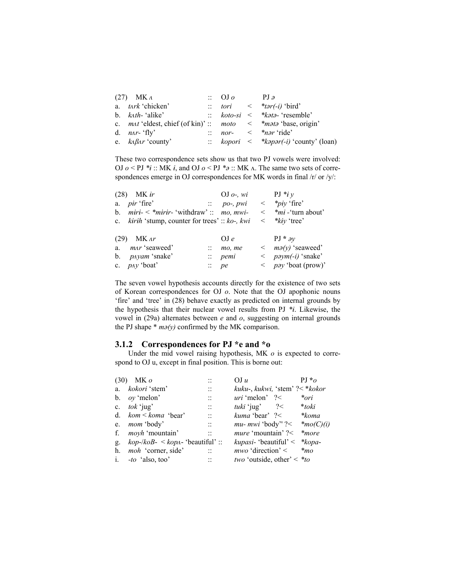| $(27)$ MK $\Lambda$                                                                  | $\therefore$ OJ $\circ$ | PJa                                              |
|--------------------------------------------------------------------------------------|-------------------------|--------------------------------------------------|
| a. <i>tark</i> 'chicken'                                                             |                         | $\therefore$ tori < *tər(-i) 'bird'              |
| b. $k \Delta t h$ - 'alike'                                                          |                         | $\therefore$ koto-si < *kata-'resemble'          |
| c. <i>mat</i> 'eldest, chief (of kin)' :: <i>moto</i> < * <i>mata</i> 'base, origin' |                         |                                                  |
| d. $n\Delta r$ - 'fly'                                                               |                         | $\therefore$ nor- $\lt$ *nər 'ride'              |
| e. $k\Delta\beta\Delta r$ county'                                                    |                         | $\therefore$ kopori < *kapar(-i) 'county' (loan) |

These two correspondence sets show us that two PJ vowels were involved: OJ  $o <$  PJ  $*_i$  :: MK  $i$ , and OJ  $o <$  PJ  $*_i$  :: MK  $\Lambda$ . The same two sets of correspondences emerge in OJ correspondences for MK words in final /r/ or /y/:

| MK ir<br>(28)                                        | OJ $o$ -, wi          | PJ $*_i y$                         |
|------------------------------------------------------|-----------------------|------------------------------------|
| a. $pir$ 'fire'                                      | $\therefore$ po-, pwi | $\langle \ \ \ *piy \ \ '$ fire'   |
| $miri - \times$ *mirir- 'withdraw' :: mo, mwi-<br>b. |                       | $\leq$ * $mi$ - 'turn about'       |
| c. $kirih$ 'stump, counter for trees' :: $ko$ , kwi  |                       | $\langle$ * $k$ <i>i</i> y 'tree'  |
|                                                      |                       |                                    |
| MK ar<br>(29)                                        | OJe                   | $PJ * \partial y$                  |
| a. <i>mar</i> 'seaweed'                              | mo, me                | $\langle$ ma(y) 'seaweed'          |
| b. <i>payam</i> 'snake'                              | $\therefore$ pemi     | $\langle$ paym(-i) 'snake'         |
| c. $pay 'boat'$                                      | $\therefore$ pe       | $\langle$ <i>pay</i> 'boat (prow)' |

The seven vowel hypothesis accounts directly for the existence of two sets of Korean correspondences for OJ *o*. Note that the OJ apophonic nouns 'fire' and 'tree' in (28) behave exactly as predicted on internal grounds by the hypothesis that their nuclear vowel results from PJ  $*_i$ . Likewise, the vowel in (29a) alternates between *e* and *o*, suggesting on internal grounds the PJ shape  $*$   $m\rho(y)$  confirmed by the MK comparison.

## **3.1.2 Correspondences for PJ \*e and \*o**

 Under the mid vowel raising hypothesis, MK *o* is expected to correspond to OJ u, except in final position. This is borne out:

| (30) | MK o                                           |                                   | OJ u                                          | $PI *_{O}$     |
|------|------------------------------------------------|-----------------------------------|-----------------------------------------------|----------------|
| a.   | <i>kokori</i> 'stem'                           | . .<br>. .                        | kuku-, kukwi, 'stem' ?< * kokor               |                |
|      | b. $ov$ 'melon'                                | $\ddotsc$<br>$\ddot{\phantom{0}}$ | <i>uri</i> 'melon' $?$                        | *ori           |
|      | c. $tok$ 'jug'                                 | $\ddotsc$                         | <i>tuki</i> 'jug' $?$                         | *toki          |
|      | d. $kom \leq kom$ 'bear'                       | $\ddotsc$                         | <i>kuma</i> 'bear' $?$                        | *koma          |
|      | e. <i>mom</i> 'body'                           | $\vdots$                          | $mu$ - mwi 'body'' ?<                         | $*_{mo(C)(i)}$ |
|      | f. <i>moyh</i> 'mountain'                      | $\mathbb{R}^2$                    | <i>mure</i> 'mountain' $?$                    | *more          |
| g.   | $kop - / koB - \langle kopa - 'beautiful' : :$ |                                   | <i>kupasi</i> - 'beautiful' < * <i>kopa</i> - |                |
|      | h. <i>moh</i> 'corner, side'                   |                                   | <i>mwo</i> 'direction' $\lt$                  | $\ast_{MO}$    |
|      | i. $-to$ 'also, too'                           |                                   | <i>two</i> 'outside, other' < $*$ <i>to</i>   |                |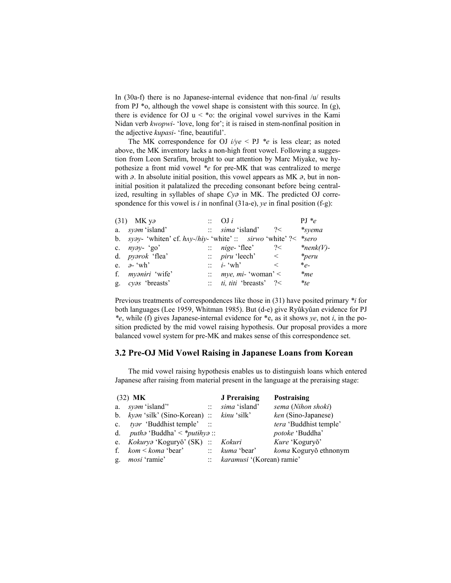In (30a-f) there is no Japanese-internal evidence that non-final /u/ results from PJ  $*$ o, although the vowel shape is consistent with this source. In (g), there is evidence for OJ  $u < *o$ : the original vowel survives in the Kami Nidan verb *kwopwi-* 'love, long for'; it is raised in stem-nonfinal position in the adjective *kupasi-* 'fine, beautiful'.

The MK correspondence for OJ  $i/ye <$  PJ  $^*e$  is less clear; as noted above, the MK inventory lacks a non-high front vowel. Following a suggestion from Leon Serafim, brought to our attention by Marc Miyake, we hypothesize a front mid vowel *\*e* for pre-MK that was centralized to merge with  $\partial$ . In absolute initial position, this vowel appears as MK  $\partial$ , but in noninitial position it palatalized the preceding consonant before being centralized, resulting in syllables of shape *Cya* in MK. The predicted OJ correspondence for this vowel is *i* in nonfinal (31a-e), *ye* in final position (f-g):

| $(31)$ MK ya                                                         | $\therefore$ OJ i                        |                       | $PI *e$      |
|----------------------------------------------------------------------|------------------------------------------|-----------------------|--------------|
| a. <i>syam</i> 'island'                                              | $\therefore$ sima 'island'               | ?                     | $*syema$     |
| b. syzy- 'whiten' cf. $hxy$ -/hiy- 'white' :: sirwo 'white' ?< *sero |                                          |                       |              |
| c. $nyay - 'go'$                                                     | $\therefore$ <i>nige</i> -'flee'         | ? <                   | $*nenk(V)$ - |
| d. <i>pyarok</i> 'flea'                                              | $\therefore$ <i>piru</i> 'leech'         | $\vert \vert < \vert$ | $*peru$      |
| e. $\partial$ - 'wh'                                                 | $\therefore$ <i>i</i> -'wh'              | $\,<\,$               | $*_e$        |
| f. <i>myaniri</i> 'wife'                                             | $\therefore$ mye, mi-'woman' <           |                       | $\ast$ me    |
| g. cyas 'breasts'                                                    | $\therefore$ <i>ti, titi</i> 'breasts' ? |                       | $*_{{te}}$   |

Previous treatments of correspondences like those in (31) have posited primary *\*i* for both languages (Lee 1959, Whitman 1985). But (d-e) give Ryûkyûan evidence for PJ *\*e*, while (f) gives Japanese-internal evidence for \*e, as it shows *ye*, not *i*, in the position predicted by the mid vowel raising hypothesis. Our proposal provides a more balanced vowel system for pre-MK and makes sense of this correspondence set.

#### **3.2 Pre-OJ Mid Vowel Raising in Japanese Loans from Korean**

 The mid vowel raising hypothesis enables us to distinguish loans which entered Japanese after raising from material present in the language at the preraising stage:

|                | $(32)$ MK                                       |                | <b>J</b> Preraising          | Postraising            |
|----------------|-------------------------------------------------|----------------|------------------------------|------------------------|
| a.             | syam 'island''                                  | $\mathbb{R}^+$ | sima 'island'                | sema (Nihon shoki)     |
|                | b. $kyan$ 'silk' (Sino-Korean) :: $kinu$ 'silk' |                |                              | ken (Sino-Japanese)    |
| $c_{\cdot}$    | <i>tyar</i> 'Buddhist temple' ::                |                |                              | tera 'Buddhist temple' |
|                | d. <i>putha</i> 'Buddha' < * <i>putihya</i> ::  |                |                              | potoke 'Buddha'        |
| $e_{1}$        | Kokurya 'Koguryŏ' (SK) :: Kokuri                |                |                              | Kure 'Koguryŏ'         |
| f.             | <i>kom &lt; koma</i> 'bear'                     |                | $\therefore$ kuma 'bear'     | koma Koguryŏ ethnonym  |
| $\mathbf{g}$ . | <i>mosi</i> 'ramie'                             |                | :: karamusi '(Korean) ramie' |                        |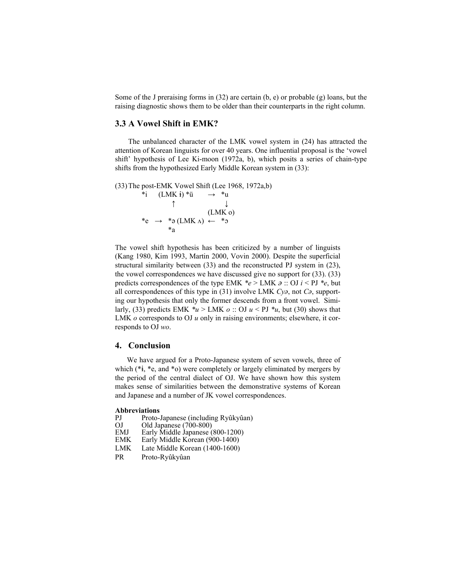Some of the J preraising forms in (32) are certain (b, e) or probable (g) loans, but the raising diagnostic shows them to be older than their counterparts in the right column.

#### **3.3 A Vowel Shift in EMK?**

 The unbalanced character of the LMK vowel system in (24) has attracted the attention of Korean linguists for over 40 years. One influential proposal is the 'vowel shift' hypothesis of Lee Ki-moon (1972a, b), which posits a series of chain-type shifts from the hypothesized Early Middle Korean system in (33):

```
(33) The post-EMK Vowel Shift (Lee 1968, 1972a,b)
```
\*i  $(LMK i)$  \*u  $\rightarrow$  \*u ↑ ↓ (LMK o) \*e  $\rightarrow$  \* a (LMK  $\Lambda$ )  $\leftarrow$  \* a \*a

The vowel shift hypothesis has been criticized by a number of linguists (Kang 1980, Kim 1993, Martin 2000, Vovin 2000). Despite the superficial structural similarity between (33) and the reconstructed PJ system in (23), the vowel correspondences we have discussed give no support for (33). (33) predicts correspondences of the type EMK  $*e > LMK \ge$ : OJ  $i <$  PJ  $*e$ , but all correspondences of this type in  $(31)$  involve LMK  $Cy<sub>o</sub>$ , not  $C<sub>o</sub>$ , supporting our hypothesis that only the former descends from a front vowel. Similarly, (33) predicts EMK  $*u > LMK$  *o* :: OJ  $u <$  PJ  $*u$ , but (30) shows that LMK *o* corresponds to OJ *u* only in raising environments; elsewhere, it corresponds to OJ *wo*.

#### **4. Conclusion**

We have argued for a Proto-Japanese system of seven vowels, three of which  $(*i, *e, and *o)$  were completely or largely eliminated by mergers by the period of the central dialect of OJ. We have shown how this system makes sense of similarities between the demonstrative systems of Korean and Japanese and a number of JK vowel correspondences.

## **Abbreviations**

- PJ Proto-Japanese (including Ryûkyûan)<br>OJ Old Japanese (700-800)
- OJ Old Japanese (700-800)<br>EMJ Early Middle Japanese (
- Early Middle Japanese (800-1200)
- EMK Early Middle Korean (900-1400)
- LMK Late Middle Korean (1400-1600)
- PR Proto-Ryûkyûan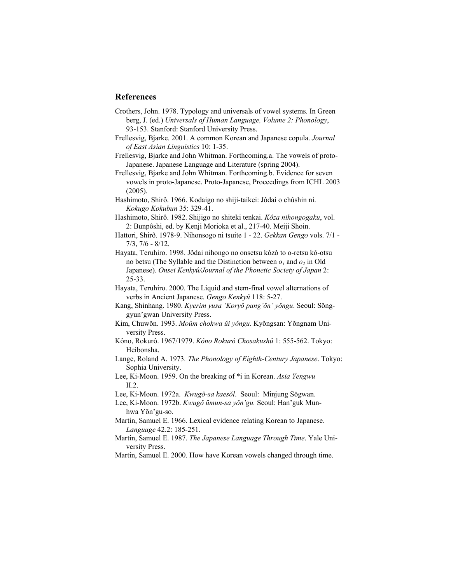### **References**

- Crothers, John. 1978. Typology and universals of vowel systems. In Green berg, J. (ed.) *Universals of Human Language, Volume 2: Phonology*, 93-153. Stanford: Stanford University Press.
- Frellesvig, Bjarke. 2001. A common Korean and Japanese copula. *Journal of East Asian Linguistics* 10: 1-35.
- Frellesvig, Bjarke and John Whitman. Forthcoming.a. The vowels of proto- Japanese. Japanese Language and Literature (spring 2004).

Frellesvig, Bjarke and John Whitman. Forthcoming.b. Evidence for seven vowels in proto-Japanese. Proto-Japanese, Proceedings from ICHL 2003 (2005).

Hashimoto, Shirô. 1966. Kodaigo no shiji-taikei: Jôdai o chûshin ni. *Kokugo Kokubun* 35: 329-41.

- Hashimoto, Shirô. 1982. Shijigo no shiteki tenkai. *Kôza nihongogaku*, vol. 2: Bunpôshi, ed. by Kenji Morioka et al., 217-40. Meiji Shoin.
- Hattori, Shirô. 1978-9. Nihonsogo ni tsuite 1 22. *Gekkan Gengo* vols. 7/1 7/3, 7/6 - 8/12.
- Hayata, Teruhiro. 1998. Jôdai nihongo no onsetsu kôzô to o-retsu kô-otsu no betsu (The Syllable and the Distinction between  $o_1$  and  $o_2$  in Old Japanese). *Onsei Kenkyû/Journal of the Phonetic Society of Japan* 2: 25-33.

Hayata, Teruhiro. 2000. The Liquid and stem-final vowel alternations of verbs in Ancient Japanese. *Gengo Kenkyû* 118: 5-27.

- Kang, Shinhang. 1980. *Kyerim yusa 'Koryŏ pang'ŏn' yŏngu*. Seoul: Sŏng gyun'gwan University Press.
- Kim, Chuwŏn. 1993. *Moŭm chohwa ŭi yŏngu*. Kyŏngsan: Yŏngnam Uni versity Press.
- Kôno, Rokurô. 1967/1979. *Kôno Rokurô Chosakushû* 1: 555-562. Tokyo: Heibonsha.
- Lange, Roland A. 1973*. The Phonology of Eighth-Century Japanese*. Tokyo: Sophia University.
- Lee, Ki-Moon. 1959. On the breaking of \*i in Korean. *Asia Yengwu* II.2.

Lee, Ki-Moon. 1972a. *Kwugŏ-sa kaesŏl*. Seoul: Minjung Sŏgwan.

- Lee, Ki-Moon. 1972b. *Kwugŏ ŭmun-sa yŏn'gu.* Seoul: Han'guk Mun hwa Yŏn'gu-so.
- Martin, Samuel E. 1966. Lexical evidence relating Korean to Japanese. *Language* 42.2: 185-251.
- Martin, Samuel E. 1987. *The Japanese Language Through Time*. Yale Uni versity Press.

Martin, Samuel E. 2000. How have Korean vowels changed through time.